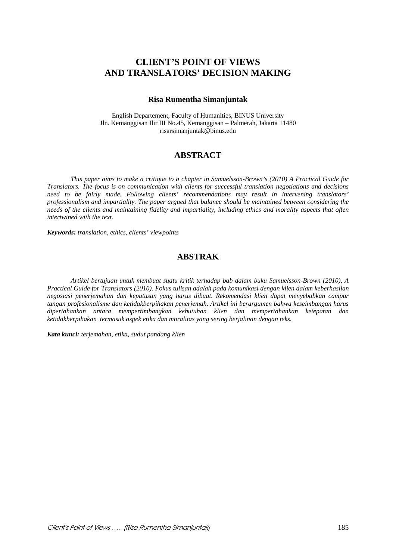# **CLIENT'S POINT OF VIEWS AND TRANSLATORS' DECISION MAKING**

### **Risa Rumentha Simanjuntak**

English Departement, Faculty of Humanities, BINUS University Jln. Kemanggisan Ilir III No.45, Kemanggisan – Palmerah, Jakarta 11480 risarsimanjuntak@binus.edu

# **ABSTRACT**

*This paper aims to make a critique to a chapter in Samuelsson-Brown's (2010) A Practical Guide for Translators. The focus is on communication with clients for successful translation negotiations and decisions need to be fairly made. Following clients' recommendations may result in intervening translators' professionalism and impartiality. The paper argued that balance should be maintained between considering the needs of the clients and maintaining fidelity and impartiality, including ethics and morality aspects that often intertwined with the text.* 

*Keywords: translation, ethics, clients' viewpoints* 

# **ABSTRAK**

*Artikel bertujuan untuk membuat suatu kritik terhadap bab dalam buku Samuelsson-Brown (2010), A Practical Guide for Translators (2010). Fokus tulisan adalah pada komunikasi dengan klien dalam keberhasilan negosiasi penerjemahan dan keputusan yang harus dibuat. Rekomendasi klien dapat menyebabkan campur tangan profesionalisme dan ketidakberpihakan penerjemah. Artikel ini berargumen bahwa keseimbangan harus dipertahankan antara mempertimbangkan kebutuhan klien dan mempertahankan ketepatan dan ketidakberpihakan termasuk aspek etika dan moralitas yang sering berjalinan dengan teks.* 

*Kata kunci: terjemahan, etika, sudut pandang klien*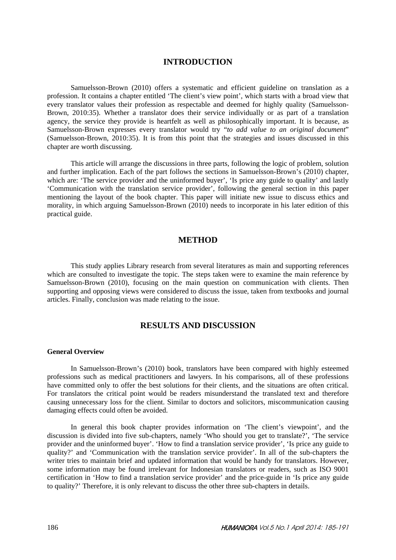### **INTRODUCTION**

Samuelsson-Brown (2010) offers a systematic and efficient guideline on translation as a profession. It contains a chapter entitled 'The client's view point', which starts with a broad view that every translator values their profession as respectable and deemed for highly quality (Samuelsson-Brown, 2010:35). Whether a translator does their service individually or as part of a translation agency, the service they provide is heartfelt as well as philosophically important. It is because, as Samuelsson-Brown expresses every translator would try "*to add value to an original document*" (Samuelsson-Brown, 2010:35). It is from this point that the strategies and issues discussed in this chapter are worth discussing.

This article will arrange the discussions in three parts, following the logic of problem, solution and further implication. Each of the part follows the sections in Samuelsson-Brown's (2010) chapter, which are: 'The service provider and the uninformed buyer', 'Is price any guide to quality' and lastly 'Communication with the translation service provider', following the general section in this paper mentioning the layout of the book chapter. This paper will initiate new issue to discuss ethics and morality, in which arguing Samuelsson-Brown (2010) needs to incorporate in his later edition of this practical guide.

### **METHOD**

This study applies Library research from several literatures as main and supporting references which are consulted to investigate the topic. The steps taken were to examine the main reference by Samuelsson-Brown (2010), focusing on the main question on communication with clients. Then supporting and opposing views were considered to discuss the issue, taken from textbooks and journal articles. Finally, conclusion was made relating to the issue.

# **RESULTS AND DISCUSSION**

#### **General Overview**

In Samuelsson-Brown's (2010) book, translators have been compared with highly esteemed professions such as medical practitioners and lawyers. In his comparisons, all of these professions have committed only to offer the best solutions for their clients, and the situations are often critical. For translators the critical point would be readers misunderstand the translated text and therefore causing unnecessary loss for the client. Similar to doctors and solicitors, miscommunication causing damaging effects could often be avoided.

In general this book chapter provides information on 'The client's viewpoint', and the discussion is divided into five sub-chapters, namely 'Who should you get to translate?', 'The service provider and the uninformed buyer'. 'How to find a translation service provider', 'Is price any guide to quality?' and 'Communication with the translation service provider'. In all of the sub-chapters the writer tries to maintain brief and updated information that would be handy for translators. However, some information may be found irrelevant for Indonesian translators or readers, such as ISO 9001 certification in 'How to find a translation service provider' and the price-guide in 'Is price any guide to quality?' Therefore, it is only relevant to discuss the other three sub-chapters in details.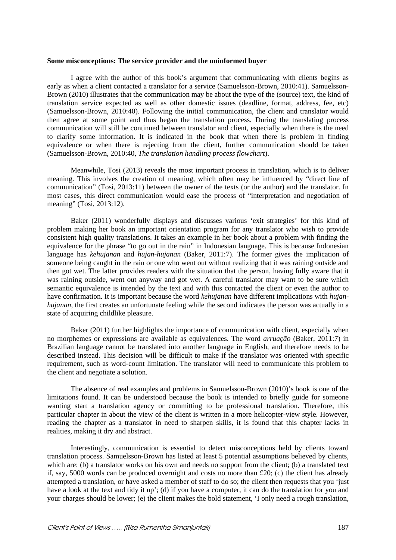#### **Some misconceptions: The service provider and the uninformed buyer**

I agree with the author of this book's argument that communicating with clients begins as early as when a client contacted a translator for a service (Samuelsson-Brown, 2010:41). Samuelsson-Brown (2010) illustrates that the communication may be about the type of the (source) text, the kind of translation service expected as well as other domestic issues (deadline, format, address, fee, etc) (Samuelsson-Brown, 2010:40). Following the initial communication, the client and translator would then agree at some point and thus began the translation process. During the translating process communication will still be continued between translator and client, especially when there is the need to clarify some information. It is indicated in the book that when there is problem in finding equivalence or when there is rejecting from the client, further communication should be taken (Samuelsson-Brown, 2010:40, *The translation handling process flowchart*).

Meanwhile, Tosi (2013) reveals the most important process in translation, which is to deliver meaning. This involves the creation of meaning, which often may be influenced by "direct line of communication" (Tosi, 2013:11) between the owner of the texts (or the author) and the translator. In most cases, this direct communication would ease the process of "interpretation and negotiation of meaning" (Tosi, 2013:12).

Baker (2011) wonderfully displays and discusses various 'exit strategies' for this kind of problem making her book an important orientation program for any translator who wish to provide consistent high quality translations. It takes an example in her book about a problem with finding the equivalence for the phrase "to go out in the rain" in Indonesian language. This is because Indonesian language has *kehujanan* and *hujan-hujanan* (Baker, 2011:7). The former gives the implication of someone being caught in the rain or one who went out without realizing that it was raining outside and then got wet. The latter provides readers with the situation that the person, having fully aware that it was raining outside, went out anyway and got wet. A careful translator may want to be sure which semantic equivalence is intended by the text and with this contacted the client or even the author to have confirmation. It is important because the word *kehujanan* have different implications with *hujanhujanan*, the first creates an unfortunate feeling while the second indicates the person was actually in a state of acquiring childlike pleasure.

Baker (2011) further highlights the importance of communication with client, especially when no morphemes or expressions are available as equivalences. The word *arruação* (Baker, 2011:7) in Brazilian language cannot be translated into another language in English, and therefore needs to be described instead. This decision will be difficult to make if the translator was oriented with specific requirement, such as word-count limitation. The translator will need to communicate this problem to the client and negotiate a solution.

The absence of real examples and problems in Samuelsson-Brown (2010)'s book is one of the limitations found. It can be understood because the book is intended to briefly guide for someone wanting start a translation agency or committing to be professional translation. Therefore, this particular chapter in about the view of the client is written in a more helicopter-view style. However, reading the chapter as a translator in need to sharpen skills, it is found that this chapter lacks in realities, making it dry and abstract.

Interestingly, communication is essential to detect misconceptions held by clients toward translation process. Samuelsson-Brown has listed at least 5 potential assumptions believed by clients, which are: (b) a translator works on his own and needs no support from the client; (b) a translated text if, say, 5000 words can be produced overnight and costs no more than  $£20$ ; (c) the client has already attempted a translation, or have asked a member of staff to do so; the client then requests that you 'just have a look at the text and tidy it up'; (d) if you have a computer, it can do the translation for you and your charges should be lower; (e) the client makes the bold statement, 'I only need a rough translation,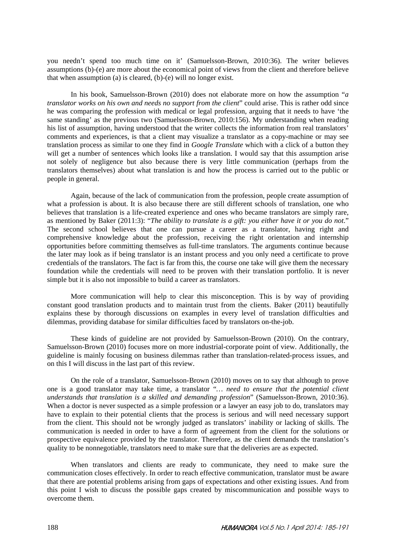you needn't spend too much time on it' (Samuelsson-Brown, 2010:36). The writer believes assumptions (b)-(e) are more about the economical point of views from the client and therefore believe that when assumption (a) is cleared, (b)-(e) will no longer exist.

In his book, Samuelsson-Brown (2010) does not elaborate more on how the assumption "*a translator works on his own and needs no support from the client*" could arise. This is rather odd since he was comparing the profession with medical or legal profession, arguing that it needs to have 'the same standing' as the previous two (Samuelsson-Brown, 2010:156). My understanding when reading his list of assumption, having understood that the writer collects the information from real translators' comments and experiences, is that a client may visualize a translator as a copy-machine or may see translation process as similar to one they find in *Google Translate* which with a click of a button they will get a number of sentences which looks like a translation. I would say that this assumption arise not solely of negligence but also because there is very little communication (perhaps from the translators themselves) about what translation is and how the process is carried out to the public or people in general.

Again, because of the lack of communication from the profession, people create assumption of what a profession is about. It is also because there are still different schools of translation, one who believes that translation is a life-created experience and ones who became translators are simply rare, as mentioned by Baker (2011:3): "*The ability to translate is a gift: you either have it or you do not*." The second school believes that one can pursue a career as a translator, having right and comprehensive knowledge about the profession, receiving the right orientation and internship opportunities before committing themselves as full-time translators. The arguments continue because the later may look as if being translator is an instant process and you only need a certificate to prove credentials of the translators. The fact is far from this, the course one take will give them the necessary foundation while the credentials will need to be proven with their translation portfolio. It is never simple but it is also not impossible to build a career as translators.

More communication will help to clear this misconception. This is by way of providing constant good translation products and to maintain trust from the clients. Baker (2011) beautifully explains these by thorough discussions on examples in every level of translation difficulties and dilemmas, providing database for similar difficulties faced by translators on-the-job.

These kinds of guideline are not provided by Samuelsson-Brown (2010). On the contrary, Samuelsson-Brown (2010) focuses more on more industrial-corporate point of view. Additionally, the guideline is mainly focusing on business dilemmas rather than translation-related-process issues, and on this I will discuss in the last part of this review.

On the role of a translator, Samuelsson-Brown (2010) moves on to say that although to prove one is a good translator may take time, a translator "*… need to ensure that the potential client understands that translation is a skilled and demanding profession*" (Samuelsson-Brown, 2010:36). When a doctor is never suspected as a simple profession or a lawyer an easy job to do, translators may have to explain to their potential clients that the process is serious and will need necessary support from the client. This should not be wrongly judged as translators' inability or lacking of skills. The communication is needed in order to have a form of agreement from the client for the solutions or prospective equivalence provided by the translator. Therefore, as the client demands the translation's quality to be nonnegotiable, translators need to make sure that the deliveries are as expected.

When translators and clients are ready to communicate, they need to make sure the communication closes effectively. In order to reach effective communication, translator must be aware that there are potential problems arising from gaps of expectations and other existing issues. And from this point I wish to discuss the possible gaps created by miscommunication and possible ways to overcome them.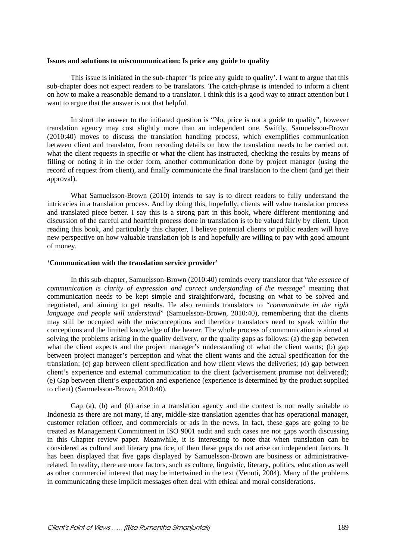#### **Issues and solutions to miscommunication: Is price any guide to quality**

This issue is initiated in the sub-chapter 'Is price any guide to quality'. I want to argue that this sub-chapter does not expect readers to be translators. The catch-phrase is intended to inform a client on how to make a reasonable demand to a translator. I think this is a good way to attract attention but I want to argue that the answer is not that helpful.

In short the answer to the initiated question is "No, price is not a guide to quality", however translation agency may cost slightly more than an independent one. Swiftly, Samuelsson-Brown (2010:40) moves to discuss the translation handling process, which exemplifies communication between client and translator, from recording details on how the translation needs to be carried out, what the client requests in specific or what the client has instructed, checking the results by means of filling or noting it in the order form, another communication done by project manager (using the record of request from client), and finally communicate the final translation to the client (and get their approval).

What Samuelsson-Brown (2010) intends to say is to direct readers to fully understand the intricacies in a translation process. And by doing this, hopefully, clients will value translation process and translated piece better. I say this is a strong part in this book, where different mentioning and discussion of the careful and heartfelt process done in translation is to be valued fairly by client. Upon reading this book, and particularly this chapter, I believe potential clients or public readers will have new perspective on how valuable translation job is and hopefully are willing to pay with good amount of money.

#### **'Communication with the translation service provider'**

In this sub-chapter, Samuelsson-Brown (2010:40) reminds every translator that "*the essence of communication is clarity of expression and correct understanding of the message*" meaning that communication needs to be kept simple and straightforward, focusing on what to be solved and negotiated, and aiming to get results. He also reminds translators to "*communicate in the right language and people will understand*" (Samuelsson-Brown, 2010:40), remembering that the clients may still be occupied with the misconceptions and therefore translators need to speak within the conceptions and the limited knowledge of the hearer. The whole process of communication is aimed at solving the problems arising in the quality delivery, or the quality gaps as follows: (a) the gap between what the client expects and the project manager's understanding of what the client wants; (b) gap between project manager's perception and what the client wants and the actual specification for the translation; (c) gap between client specification and how client views the deliveries; (d) gap between client's experience and external communication to the client (advertisement promise not delivered); (e) Gap between client's expectation and experience (experience is determined by the product supplied to client) (Samuelsson-Brown, 2010:40).

Gap (a), (b) and (d) arise in a translation agency and the context is not really suitable to Indonesia as there are not many, if any, middle-size translation agencies that has operational manager, customer relation officer, and commercials or ads in the news. In fact, these gaps are going to be treated as Management Commitment in ISO 9001 audit and such cases are not gaps worth discussing in this Chapter review paper. Meanwhile, it is interesting to note that when translation can be considered as cultural and literary practice, of then these gaps do not arise on independent factors. It has been displayed that five gaps displayed by Samuelsson-Brown are business or administrativerelated. In reality, there are more factors, such as culture, linguistic, literary, politics, education as well as other commercial interest that may be intertwined in the text (Venuti, 2004). Many of the problems in communicating these implicit messages often deal with ethical and moral considerations.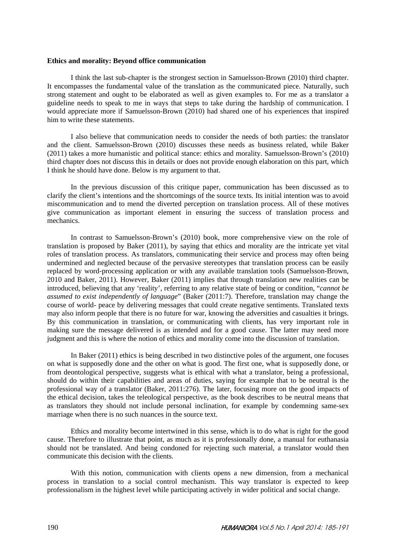#### **Ethics and morality: Beyond office communication**

I think the last sub-chapter is the strongest section in Samuelsson-Brown (2010) third chapter. It encompasses the fundamental value of the translation as the communicated piece. Naturally, such strong statement and ought to be elaborated as well as given examples to. For me as a translator a guideline needs to speak to me in ways that steps to take during the hardship of communication. I would appreciate more if Samuelsson-Brown (2010) had shared one of his experiences that inspired him to write these statements.

I also believe that communication needs to consider the needs of both parties: the translator and the client. Samuelsson-Brown (2010) discusses these needs as business related, while Baker (2011) takes a more humanistic and political stance: ethics and morality. Samuelsson-Brown's (2010) third chapter does not discuss this in details or does not provide enough elaboration on this part, which I think he should have done. Below is my argument to that.

In the previous discussion of this critique paper, communication has been discussed as to clarify the client's intentions and the shortcomings of the source texts. Its initial intention was to avoid miscommunication and to mend the diverted perception on translation process. All of these motives give communication as important element in ensuring the success of translation process and mechanics.

In contrast to Samuelsson-Brown's (2010) book, more comprehensive view on the role of translation is proposed by Baker (2011), by saying that ethics and morality are the intricate yet vital roles of translation process. As translators, communicating their service and process may often being undermined and neglected because of the pervasive stereotypes that translation process can be easily replaced by word-processing application or with any available translation tools (Samuelsson-Brown, 2010 and Baker, 2011). However, Baker (2011) implies that through translation new realities can be introduced, believing that any 'reality', referring to any relative state of being or condition, "*cannot be assumed to exist independently of language*" (Baker (2011:7). Therefore, translation may change the course of world- peace by delivering messages that could create negative sentiments. Translated texts may also inform people that there is no future for war, knowing the adversities and casualties it brings. By this communication in translation, or communicating with clients, has very important role in making sure the message delivered is as intended and for a good cause. The latter may need more judgment and this is where the notion of ethics and morality come into the discussion of translation.

In Baker (2011) ethics is being described in two distinctive poles of the argument, one focuses on what is supposedly done and the other on what is good. The first one, what is supposedly done, or from deontological perspective, suggests what is ethical with what a translator, being a professional, should do within their capabilities and areas of duties, saying for example that to be neutral is the professional way of a translator (Baker, 2011:276). The later, focusing more on the good impacts of the ethical decision, takes the teleological perspective, as the book describes to be neutral means that as translators they should not include personal inclination, for example by condemning same-sex marriage when there is no such nuances in the source text.

Ethics and morality become intertwined in this sense, which is to do what is right for the good cause. Therefore to illustrate that point, as much as it is professionally done, a manual for euthanasia should not be translated. And being condoned for rejecting such material, a translator would then communicate this decision with the clients.

With this notion, communication with clients opens a new dimension, from a mechanical process in translation to a social control mechanism. This way translator is expected to keep professionalism in the highest level while participating actively in wider political and social change.